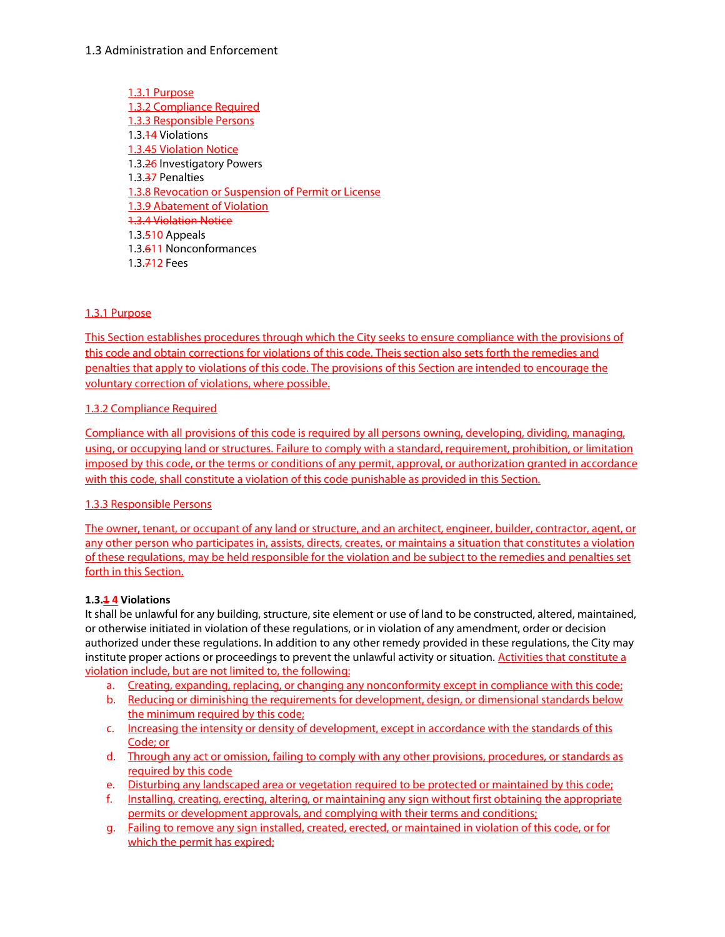1.3.1 Purpose 1.3.2 Compliance Required 1.3.3 Responsible Persons 1.3.14 Violations 1.3.45 Violation Notice 1.3.26 Investigatory Powers 1.3.37 Penalties 1.3.8 Revocation or Suspension of Permit or License 1.3.9 Abatement of Violation 1.3.4 Violation Notice 1.3.510 Appeals 1.3.611 Nonconformances 1.3.712 Fees

### 1.3.1 Purpose

This Section establishes procedures through which the City seeks to ensure compliance with the provisions of this code and obtain corrections for violations of this code. Theis section also sets forth the remedies and penalties that apply to violations of this code. The provisions of this Section are intended to encourage the voluntary correction of violations, where possible.

#### 1.3.2 Compliance Required

Compliance with all provisions of this code is required by all persons owning, developing, dividing, managing, using, or occupying land or structures. Failure to comply with a standard, requirement, prohibition, or limitation imposed by this code, or the terms or conditions of any permit, approval, or authorization granted in accordance with this code, shall constitute a violation of this code punishable as provided in this Section.

#### 1.3.3 Responsible Persons

The owner, tenant, or occupant of any land or structure, and an architect, engineer, builder, contractor, agent, or any other person who participates in, assists, directs, creates, or maintains a situation that constitutes a violation of these regulations, may be held responsible for the violation and be subject to the remedies and penalties set forth in this Section.

#### **1.3.1 4 Violations**

It shall be unlawful for any building, structure, site element or use of land to be constructed, altered, maintained, or otherwise initiated in violation of these regulations, or in violation of any amendment, order or decision authorized under these regulations. In addition to any other remedy provided in these regulations, the City may institute proper actions or proceedings to prevent the unlawful activity or situation. Activities that constitute a violation include, but are not limited to, the following:

- a. Creating, expanding, replacing, or changing any nonconformity except in compliance with this code;
- b. Reducing or diminishing the requirements for development, design, or dimensional standards below the minimum required by this code;
- c. Increasing the intensity or density of development, except in accordance with the standards of this Code; or
- d. Through any act or omission, failing to comply with any other provisions, procedures, or standards as required by this code
- e. Disturbing any landscaped area or vegetation required to be protected or maintained by this code;
- f. Installing, creating, erecting, altering, or maintaining any sign without first obtaining the appropriate permits or development approvals, and complying with their terms and conditions;
- g. Failing to remove any sign installed, created, erected, or maintained in violation of this code, or for which the permit has expired;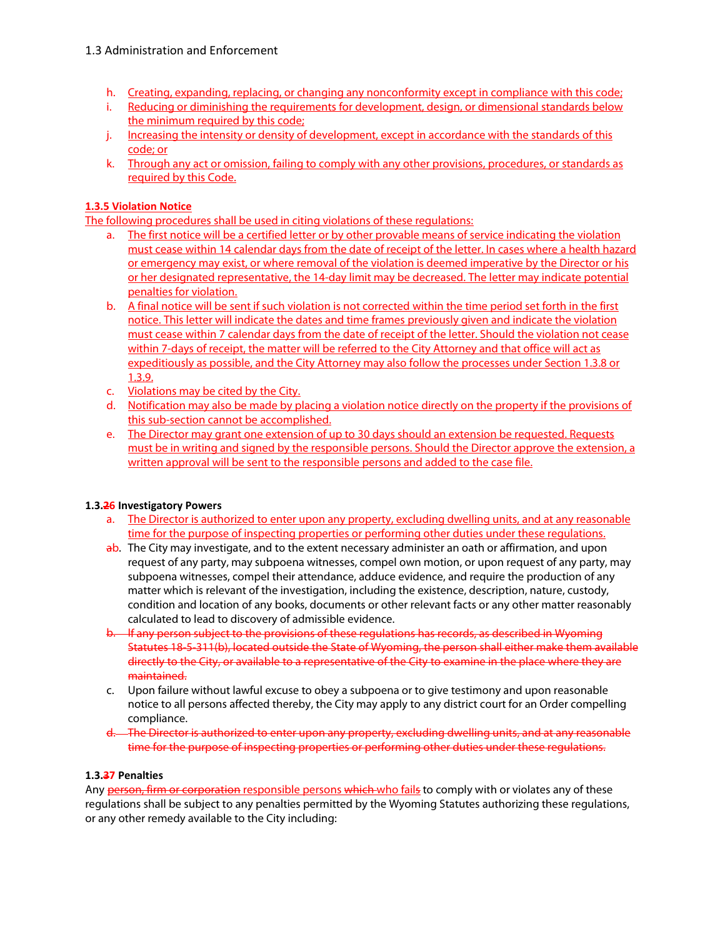- h. Creating, expanding, replacing, or changing any nonconformity except in compliance with this code;
- i. Reducing or diminishing the requirements for development, design, or dimensional standards below the minimum required by this code;
- j. Increasing the intensity or density of development, except in accordance with the standards of this code; or
- k. Through any act or omission, failing to comply with any other provisions, procedures, or standards as required by this Code.

## **1.3.5 Violation Notice**

The following procedures shall be used in citing violations of these regulations:

- a. The first notice will be a certified letter or by other provable means of service indicating the violation must cease within 14 calendar days from the date of receipt of the letter. In cases where a health hazard or emergency may exist, or where removal of the violation is deemed imperative by the Director or his or her designated representative, the 14-day limit may be decreased. The letter may indicate potential penalties for violation.
- b. A final notice will be sent if such violation is not corrected within the time period set forth in the first notice. This letter will indicate the dates and time frames previously given and indicate the violation must cease within 7 calendar days from the date of receipt of the letter. Should the violation not cease within 7-days of receipt, the matter will be referred to the City Attorney and that office will act as expeditiously as possible, and the City Attorney may also follow the processes under Section 1.3.8 or 1.3.9.
- c. Violations may be cited by the City.
- d. Notification may also be made by placing a violation notice directly on the property if the provisions of this sub-section cannot be accomplished.
- e. The Director may grant one extension of up to 30 days should an extension be requested. Requests must be in writing and signed by the responsible persons. Should the Director approve the extension, a written approval will be sent to the responsible persons and added to the case file.

### **1.3.26 Investigatory Powers**

- a. The Director is authorized to enter upon any property, excluding dwelling units, and at any reasonable time for the purpose of inspecting properties or performing other duties under these regulations.
- ab. The City may investigate, and to the extent necessary administer an oath or affirmation, and upon request of any party, may subpoena witnesses, compel own motion, or upon request of any party, may subpoena witnesses, compel their attendance, adduce evidence, and require the production of any matter which is relevant of the investigation, including the existence, description, nature, custody, condition and location of any books, documents or other relevant facts or any other matter reasonably calculated to lead to discovery of admissible evidence.
- b. If any person subject to the provisions of these regulations has records, as described in Wyoming Statutes 18-5-311(b), located outside the State of Wyoming, the person shall either make them available directly to the City, or available to a representative of the City to examine in the place where they are maintained.
- c. Upon failure without lawful excuse to obey a subpoena or to give testimony and upon reasonable notice to all persons affected thereby, the City may apply to any district court for an Order compelling compliance.
- d. The Director is authorized to enter upon any property, excluding dwelling units, and at any reasonable time for the purpose of inspecting properties or performing other duties under these regulations.

### **1.3.37 Penalties**

Any person, firm or corporation responsible persons which who fails to comply with or violates any of these regulations shall be subject to any penalties permitted by the Wyoming Statutes authorizing these regulations, or any other remedy available to the City including: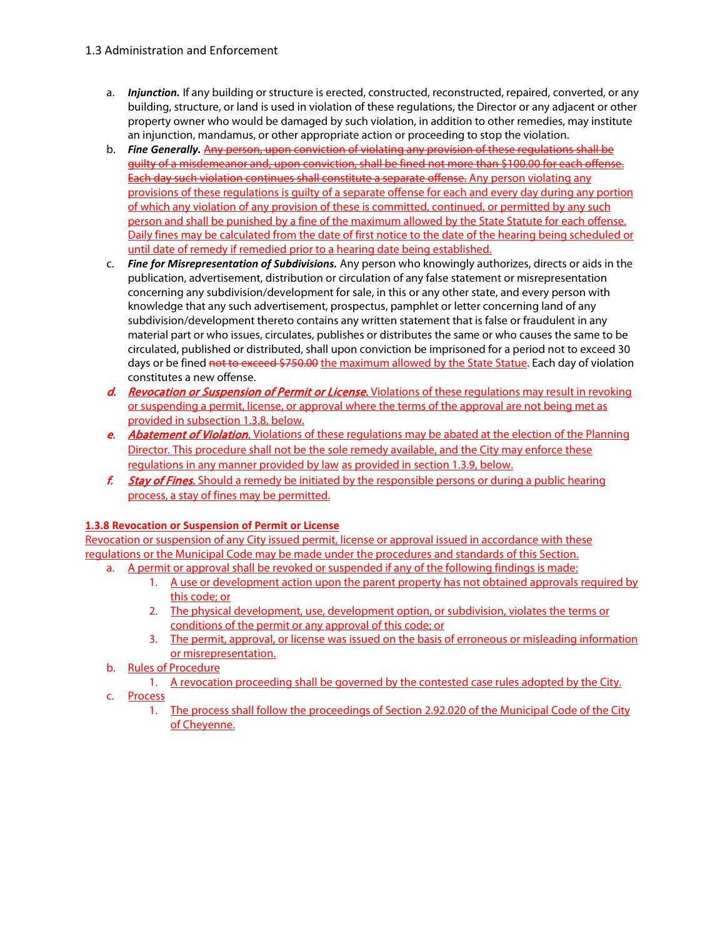- a. *Injunction.* If any building or structure is erected, constructed, reconstructed, repaired, converted, or any building, structure, or land is used in violation of these regulations, the Director or any adjacent or other property owner who would be damaged by such violation, in addition to other remedies, may institute an injunction, mandamus, or other appropriate action or proceeding to stop the violation.
- b. *Fine Generally.* Any person, upon conviction of violating any provision of these regulations shall be guilty of a misdemeanor and, upon conviction, shall be fined not more than \$100.00 for each offense. Each day such violation continues shall constitute a separate offense. Any person violating any provisions of these regulations is guilty of a separate offense for each and every day during any portion of which any violation of any provision of these is committed, continued, or permitted by any such person and shall be punished by a fine of the maximum allowed by the State Statute for each offense. Daily fines may be calculated from the date of first notice to the date of the hearing being scheduled or until date of remedy if remedied prior to a hearing date being established.
- c. *Fine for Misrepresentation of Subdivisions.* Any person who knowingly authorizes, directs or aids in the publication, advertisement, distribution or circulation of any false statement or misrepresentation concerning any subdivision/development for sale, in this or any other state, and every person with knowledge that any such advertisement, prospectus, pamphlet or letter concerning land of any subdivision/development thereto contains any written statement that is false or fraudulent in any material part or who issues, circulates, publishes or distributes the same or who causes the same to be circulated, published or distributed, shall upon conviction be imprisoned for a period not to exceed 30 days or be fined not to exceed \$750.00 the maximum allowed by the State Statue. Each day of violation constitutes a new offense.
- d. Revocation or Suspension of Permit or License. Violations of these regulations may result in revoking or suspending a permit, license, or approval where the terms of the approval are not being met as provided in subsection 1.3.8, below.
- e. Abatement of Violation. Violations of these regulations may be abated at the election of the Planning Director. This procedure shall not be the sole remedy available, and the City may enforce these regulations in any manner provided by law as provided in section 1.3.9, below.
- f. Stay of Fines. Should a remedy be initiated by the responsible persons or during a public hearing process, a stay of fines may be permitted.

### **1.3.8 Revocation or Suspension of Permit or License**

Revocation or suspension of any City issued permit, license or approval issued in accordance with these regulations or the Municipal Code may be made under the procedures and standards of this Section.

- a. A permit or approval shall be revoked or suspended if any of the following findings is made:
	- 1. A use or development action upon the parent property has not obtained approvals required by this code; or
	- 2. The physical development, use, development option, or subdivision, violates the terms or conditions of the permit or any approval of this code; or
	- 3. The permit, approval, or license was issued on the basis of erroneous or misleading information or misrepresentation.
- b. Rules of Procedure
	- 1. A revocation proceeding shall be governed by the contested case rules adopted by the City.
- c. Process
	- 1. The process shall follow the proceedings of Section 2.92.020 of the Municipal Code of the City of Cheyenne.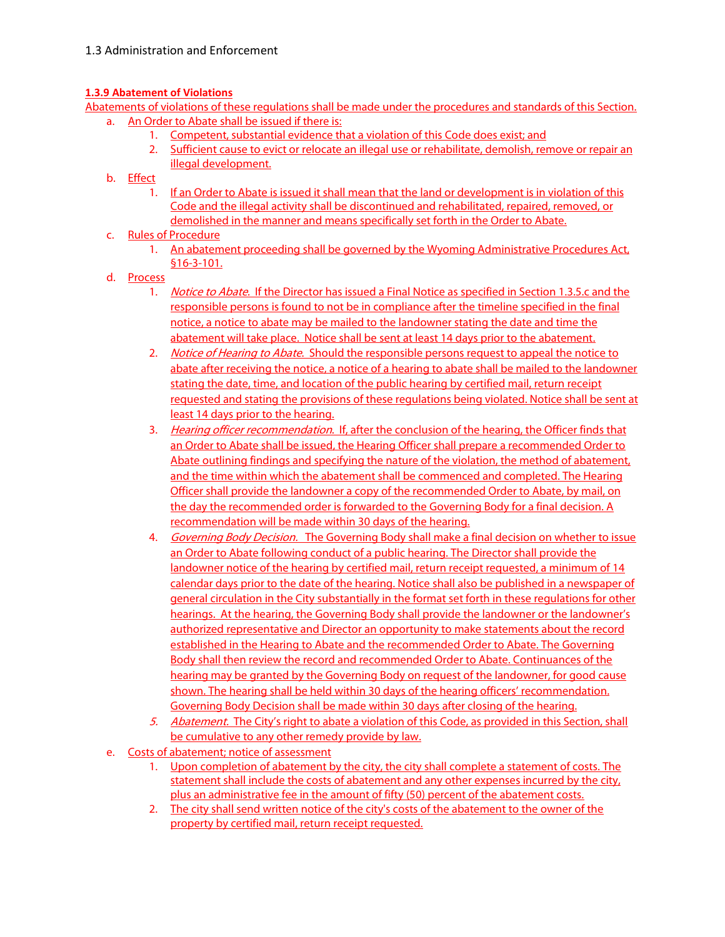# **1.3.9 Abatement of Violations**

Abatements of violations of these regulations shall be made under the procedures and standards of this Section. a. An Order to Abate shall be issued if there is:

- 1. Competent, substantial evidence that a violation of this Code does exist; and
- 2. Sufficient cause to evict or relocate an illegal use or rehabilitate, demolish, remove or repair an illegal development.
- b. Effect
	- 1. If an Order to Abate is issued it shall mean that the land or development is in violation of this Code and the illegal activity shall be discontinued and rehabilitated, repaired, removed, or demolished in the manner and means specifically set forth in the Order to Abate.
- c. Rules of Procedure
	- 1. An abatement proceeding shall be governed by the Wyoming Administrative Procedures Act, §16-3-101.
- d. Process
	- 1. Notice to Abate. If the Director has issued a Final Notice as specified in Section 1.3.5.c and the responsible persons is found to not be in compliance after the timeline specified in the final notice, a notice to abate may be mailed to the landowner stating the date and time the abatement will take place. Notice shall be sent at least 14 days prior to the abatement.
	- 2. Notice of Hearing to Abate. Should the responsible persons request to appeal the notice to abate after receiving the notice, a notice of a hearing to abate shall be mailed to the landowner stating the date, time, and location of the public hearing by certified mail, return receipt requested and stating the provisions of these regulations being violated. Notice shall be sent at least 14 days prior to the hearing.
	- 3. Hearing officer recommendation. If, after the conclusion of the hearing, the Officer finds that an Order to Abate shall be issued, the Hearing Officer shall prepare a recommended Order to Abate outlining findings and specifying the nature of the violation, the method of abatement, and the time within which the abatement shall be commenced and completed. The Hearing Officer shall provide the landowner a copy of the recommended Order to Abate, by mail, on the day the recommended order is forwarded to the Governing Body for a final decision. A recommendation will be made within 30 days of the hearing.
	- 4. Governing Body Decision. The Governing Body shall make a final decision on whether to issue an Order to Abate following conduct of a public hearing. The Director shall provide the landowner notice of the hearing by certified mail, return receipt requested, a minimum of 14 calendar days prior to the date of the hearing. Notice shall also be published in a newspaper of general circulation in the City substantially in the format set forth in these regulations for other hearings. At the hearing, the Governing Body shall provide the landowner or the landowner's authorized representative and Director an opportunity to make statements about the record established in the Hearing to Abate and the recommended Order to Abate. The Governing Body shall then review the record and recommended Order to Abate. Continuances of the hearing may be granted by the Governing Body on request of the landowner, for good cause shown. The hearing shall be held within 30 days of the hearing officers' recommendation. Governing Body Decision shall be made within 30 days after closing of the hearing.
	- 5. Abatement. The City's right to abate a violation of this Code, as provided in this Section, shall be cumulative to any other remedy provide by law.
- e. Costs of abatement; notice of assessment
	- 1. Upon completion of abatement by the city, the city shall complete a statement of costs. The statement shall include the costs of abatement and any other expenses incurred by the city, plus an administrative fee in the amount of fifty (50) percent of the abatement costs.
	- 2. The city shall send written notice of the city's costs of the abatement to the owner of the property by certified mail, return receipt requested.